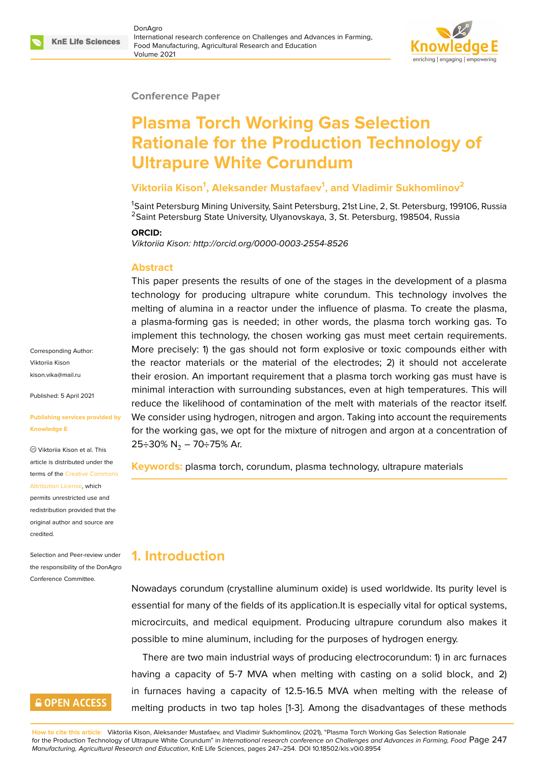#### **Conference Paper**

# **Plasma Torch Working Gas Selection Rationale for the Production Technology of Ultrapure White Corundum**

### **Viktoriia Kison<sup>1</sup> , Aleksander Mustafaev<sup>1</sup> , and Vladimir Sukhomlinov<sup>2</sup>**

<sup>1</sup>Saint Petersburg Mining University, Saint Petersburg, 21st Line, 2, St. Petersburg, 199106, Russia <sup>2</sup>Saint Petersburg State University, Ulyanovskaya, 3, St. Petersburg, 198504, Russia

#### **ORCID:**

*Viktoriia Kison: http://orcid.org/0000-0003-2554-8526*

#### **Abstract**

This paper presents the results of one of the stages in the development of a plasma technology for producing ultrapure white corundum. This technology involves the melting of alumina in a reactor under the influence of plasma. To create the plasma, a plasma-forming gas is needed; in other words, the plasma torch working gas. To implement this technology, the chosen working gas must meet certain requirements. More precisely: 1) the gas should not form explosive or toxic compounds either with the reactor materials or the material of the electrodes; 2) it should not accelerate their erosion. An important requirement that a plasma torch working gas must have is minimal interaction with surrounding substances, even at high temperatures. This will reduce the likelihood of contamination of the melt with materials of the reactor itself. We consider using hydrogen, nitrogen and argon. Taking into account the requirements for the working gas, we opt for the mixture of nitrogen and argon at a concentration of 25÷30% N<sub>2</sub> – 70÷75% Ar.

**Keywords:** plasma torch, corundum, plasma technology, ultrapure materials

## **1. Introduction**

Nowadays corundum (crystalline aluminum oxide) is used worldwide. Its purity level is essential for many of the fields of its application.It is especially vital for optical systems, microcircuits, and medical equipment. Producing ultrapure corundum also makes it possible to mine aluminum, including for the purposes of hydrogen energy.

There are two main industrial ways of producing electrocorundum: 1) in arc furnaces having a capacity of 5-7 MVA when melting with casting on a solid block, and 2) in furnaces having a capacity of 12.5-16.5 MVA when melting with the release of melting products in two tap holes [1-3]. Among the disadvantages of these methods

**How to cite this article**: Viktoriia Kison, Aleksander Mustafaev, and Vladimir Sukhomlinov, (2021), "Plasma Torch Working Gas Selection Rationale for the Production Technology of Ultrapure White Corundum" in *International research conference on Challenges and Advances in Farming, Food* Page 247 *Manufacturing, Agricultural Research and Education*, KnE Life Sciences, pages 247–254. DOI 10.18502/kls.v0i0.8954

Corresponding Author: Viktoriia Kison kison.vika@mail.ru

Published: 5 April 2021

#### **[Publishing service](mailto:kison.vika@mail.ru)s provided by Knowledge E**

Viktoriia Kison et al. This article is distributed under the terms of the Creative Commons Attribution License, which

permits unrestricted use and redistribution provided that the original auth[or and source are](https://creativecommons.org/licenses/by/4.0/) [credited.](https://creativecommons.org/licenses/by/4.0/)

Selection and Peer-review under the responsibility of the DonAgro Conference Committee.

## **GOPEN ACCESS**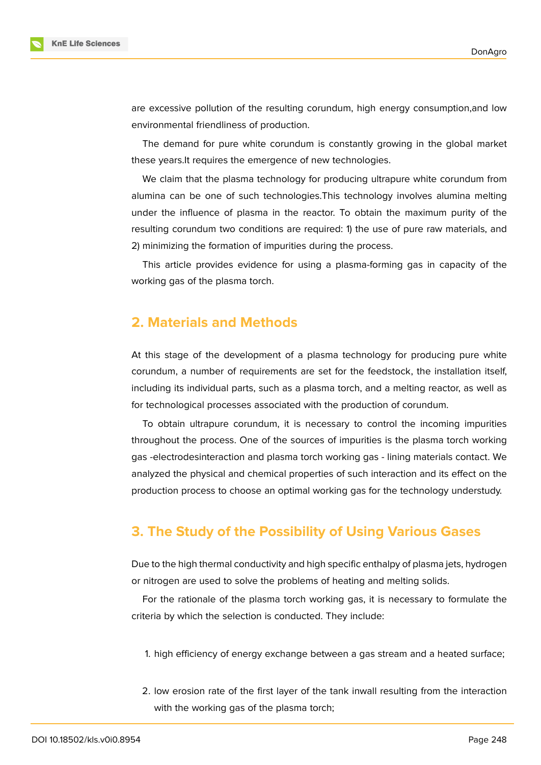

are excessive pollution of the resulting corundum, high energy consumption,and low environmental friendliness of production.

The demand for pure white corundum is constantly growing in the global market these years.It requires the emergence of new technologies.

We claim that the plasma technology for producing ultrapure white corundum from alumina can be one of such technologies.This technology involves alumina melting under the influence of plasma in the reactor. To obtain the maximum purity of the resulting corundum two conditions are required: 1) the use of pure raw materials, and 2) minimizing the formation of impurities during the process.

This article provides evidence for using a plasma-forming gas in capacity of the working gas of the plasma torch.

## **2. Materials and Methods**

At this stage of the development of a plasma technology for producing pure white corundum, a number of requirements are set for the feedstock, the installation itself, including its individual parts, such as a plasma torch, and a melting reactor, as well as for technological processes associated with the production of corundum.

To obtain ultrapure corundum, it is necessary to control the incoming impurities throughout the process. One of the sources of impurities is the plasma torch working gas -electrodesinteraction and plasma torch working gas - lining materials contact. We analyzed the physical and chemical properties of such interaction and its effect on the production process to choose an optimal working gas for the technology understudy.

## **3. The Study of the Possibility of Using Various Gases**

Due to the high thermal conductivity and high specific enthalpy of plasma jets, hydrogen or nitrogen are used to solve the problems of heating and melting solids.

For the rationale of the plasma torch working gas, it is necessary to formulate the criteria by which the selection is conducted. They include:

- 1. high efficiency of energy exchange between a gas stream and a heated surface;
- 2. low erosion rate of the first layer of the tank inwall resulting from the interaction with the working gas of the plasma torch;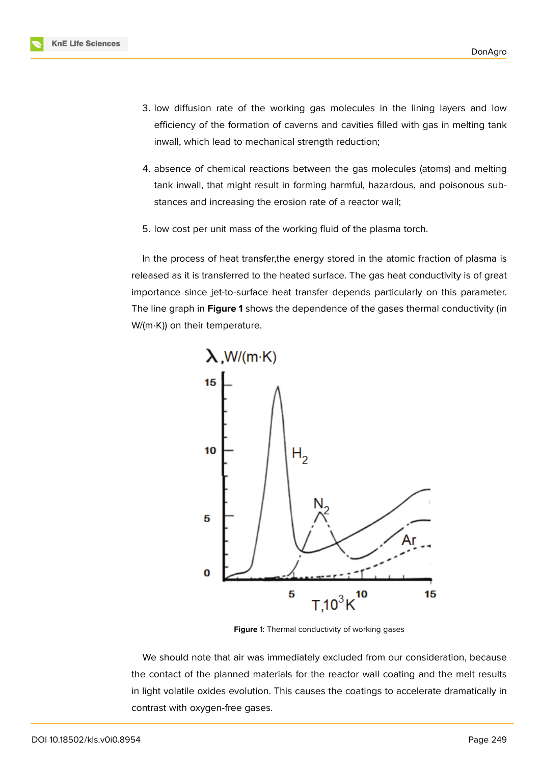- 3. low diffusion rate of the working gas molecules in the lining layers and low efficiency of the formation of caverns and cavities filled with gas in melting tank inwall, which lead to mechanical strength reduction;
- 4. absence of chemical reactions between the gas molecules (atoms) and melting tank inwall, that might result in forming harmful, hazardous, and poisonous substances and increasing the erosion rate of a reactor wall;
- 5. low cost per unit mass of the working fluid of the plasma torch.

In the process of heat transfer,the energy stored in the atomic fraction of plasma is released as it is transferred to the heated surface. The gas heat conductivity is of great importance since jet-to-surface heat transfer depends particularly on this parameter. The line graph in **Figure 1** shows the dependence of the gases thermal conductivity (in W/(m⋅K)) on their temperature.



**Figure** 1: Thermal conductivity of working gases

We should note that air was immediately excluded from our consideration, because the contact of the planned materials for the reactor wall coating and the melt results in light volatile oxides evolution. This causes the coatings to accelerate dramatically in contrast with oxygen-free gases.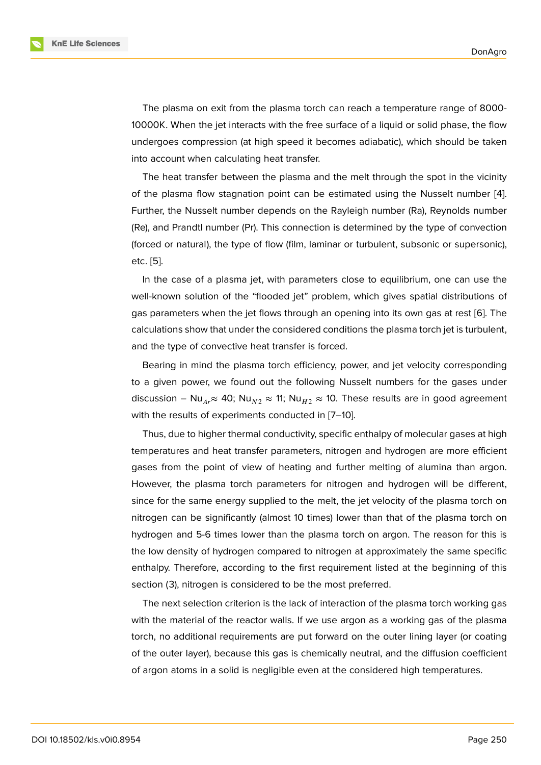The plasma on exit from the plasma torch can reach a temperature range of 8000- 10000K. When the jet interacts with the free surface of a liquid or solid phase, the flow undergoes compression (at high speed it becomes adiabatic), which should be taken into account when calculating heat transfer.

The heat transfer between the plasma and the melt through the spot in the vicinity of the plasma flow stagnation point can be estimated using the Nusselt number [4]. Further, the Nusselt number depends on the Rayleigh number (Ra), Reynolds number (Re), and Prandtl number (Pr). This connection is determined by the type of convection (forced or natural), the type of flow (film, laminar or turbulent, subsonic or superson[ic](#page-6-0)), etc. [5].

In the case of a plasma jet, with parameters close to equilibrium, one can use the well-known solution of the "flooded jet" problem, which gives spatial distributions of gas [pa](#page-7-0)rameters when the jet flows through an opening into its own gas at rest [6]. The calculations show that under the considered conditions the plasma torch jet is turbulent, and the type of convective heat transfer is forced.

Bearing in mind the plasma torch efficiency, power, and jet velocity corresp[o](#page-7-1)nding to a given power, we found out the following Nusselt numbers for the gases under discussion – Nu<sub>Ar</sub> ≈ 40; Nu<sub>N2</sub> ≈ 11; Nu<sub>H2</sub> ≈ 10. These results are in good agreement with the results of experiments conducted in [7–10].

Thus, due to higher thermal conductivity, specific enthalpy of molecular gases at high temperatures and heat transfer parameters, nitrogen and hydrogen are more efficient gases from the point of view of heating and further melting of alumina than argon. However, the plasma torch parameters for nitrogen and hydrogen will be different, since for the same energy supplied to the melt, the jet velocity of the plasma torch on nitrogen can be significantly (almost 10 times) lower than that of the plasma torch on hydrogen and 5-6 times lower than the plasma torch on argon. The reason for this is the low density of hydrogen compared to nitrogen at approximately the same specific enthalpy. Therefore, according to the first requirement listed at the beginning of this section (3), nitrogen is considered to be the most preferred.

The next selection criterion is the lack of interaction of the plasma torch working gas with the material of the reactor walls. If we use argon as a working gas of the plasma torch, no additional requirements are put forward on the outer lining layer (or coating of the outer layer), because this gas is chemically neutral, and the diffusion coefficient of argon atoms in a solid is negligible even at the considered high temperatures.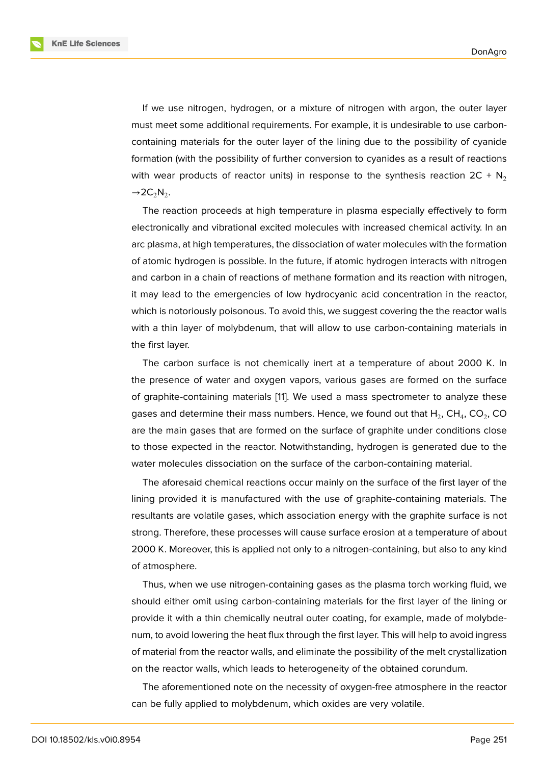If we use nitrogen, hydrogen, or a mixture of nitrogen with argon, the outer layer must meet some additional requirements. For example, it is undesirable to use carboncontaining materials for the outer layer of the lining due to the possibility of cyanide formation (with the possibility of further conversion to cyanides as a result of reactions with wear products of reactor units) in response to the synthesis reaction  $2C + N<sub>2</sub>$  $\rightarrow$  2C<sub>2</sub>N<sub>2</sub>.

The reaction proceeds at high temperature in plasma especially effectively to form electronically and vibrational excited molecules with increased chemical activity. In an arc plasma, at high temperatures, the dissociation of water molecules with the formation of atomic hydrogen is possible. In the future, if atomic hydrogen interacts with nitrogen and carbon in a chain of reactions of methane formation and its reaction with nitrogen, it may lead to the emergencies of low hydrocyanic acid concentration in the reactor, which is notoriously poisonous. To avoid this, we suggest covering the the reactor walls with a thin layer of molybdenum, that will allow to use carbon-containing materials in the first layer.

The carbon surface is not chemically inert at a temperature of about 2000 K. In the presence of water and oxygen vapors, various gases are formed on the surface of graphite-containing materials [11]. We used a mass spectrometer to analyze these gases and determine their mass numbers. Hence, we found out that  ${\sf H}_{2}$ , CH $_{4}$ , CO $_{2}$ , CO are the main gases that are formed on the surface of graphite under conditions close to those expected in the reactor. [N](#page-7-2)otwithstanding, hydrogen is generated due to the water molecules dissociation on the surface of the carbon-containing material.

The aforesaid chemical reactions occur mainly on the surface of the first layer of the lining provided it is manufactured with the use of graphite-containing materials. The resultants are volatile gases, which association energy with the graphite surface is not strong. Therefore, these processes will cause surface erosion at a temperature of about 2000 K. Moreover, this is applied not only to a nitrogen-containing, but also to any kind of atmosphere.

Thus, when we use nitrogen-containing gases as the plasma torch working fluid, we should either omit using carbon-containing materials for the first layer of the lining or provide it with a thin chemically neutral outer coating, for example, made of molybdenum, to avoid lowering the heat flux through the first layer. This will help to avoid ingress of material from the reactor walls, and eliminate the possibility of the melt crystallization on the reactor walls, which leads to heterogeneity of the obtained corundum.

The aforementioned note on the necessity of oxygen-free atmosphere in the reactor can be fully applied to molybdenum, which oxides are very volatile.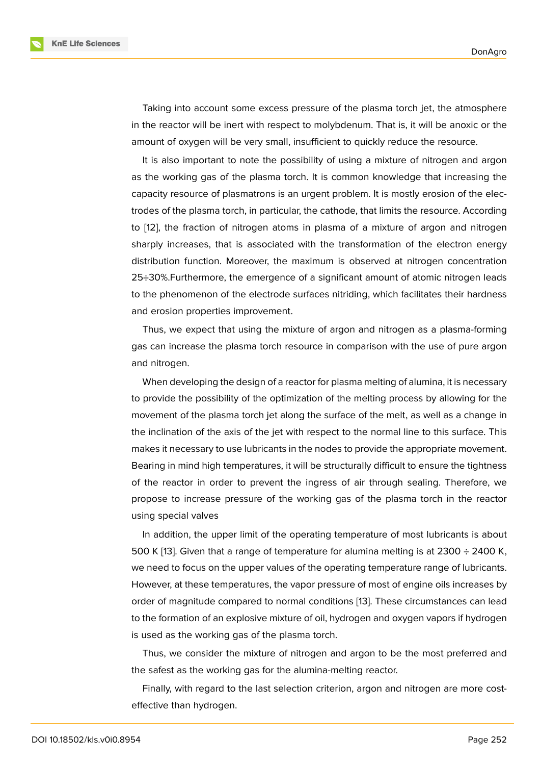Taking into account some excess pressure of the plasma torch jet, the atmosphere in the reactor will be inert with respect to molybdenum. That is, it will be anoxic or the amount of oxygen will be very small, insufficient to quickly reduce the resource.

It is also important to note the possibility of using a mixture of nitrogen and argon as the working gas of the plasma torch. It is common knowledge that increasing the capacity resource of plasmatrons is an urgent problem. It is mostly erosion of the electrodes of the plasma torch, in particular, the cathode, that limits the resource. According to [12], the fraction of nitrogen atoms in plasma of a mixture of argon and nitrogen sharply increases, that is associated with the transformation of the electron energy distribution function. Moreover, the maximum is observed at nitrogen concentration 25÷[30](#page-7-3)%.Furthermore, the emergence of a significant amount of atomic nitrogen leads to the phenomenon of the electrode surfaces nitriding, which facilitates their hardness and erosion properties improvement.

Thus, we expect that using the mixture of argon and nitrogen as a plasma-forming gas can increase the plasma torch resource in comparison with the use of pure argon and nitrogen.

When developing the design of a reactor for plasma melting of alumina, it is necessary to provide the possibility of the optimization of the melting process by allowing for the movement of the plasma torch jet along the surface of the melt, as well as a change in the inclination of the axis of the jet with respect to the normal line to this surface. This makes it necessary to use lubricants in the nodes to provide the appropriate movement. Bearing in mind high temperatures, it will be structurally difficult to ensure the tightness of the reactor in order to prevent the ingress of air through sealing. Therefore, we propose to increase pressure of the working gas of the plasma torch in the reactor using special valves

In addition, the upper limit of the operating temperature of most lubricants is about 500 K [13]. Given that a range of temperature for alumina melting is at 2300  $\div$  2400 K, we need to focus on the upper values of the operating temperature range of lubricants. However, at these temperatures, the vapor pressure of most of engine oils increases by order o[f m](#page-7-4)agnitude compared to normal conditions [13]. These circumstances can lead to the formation of an explosive mixture of oil, hydrogen and oxygen vapors if hydrogen is used as the working gas of the plasma torch.

Thus, we consider the mixture of nitrogen and ar[go](#page-7-4)n to be the most preferred and the safest as the working gas for the alumina-melting reactor.

Finally, with regard to the last selection criterion, argon and nitrogen are more costeffective than hydrogen.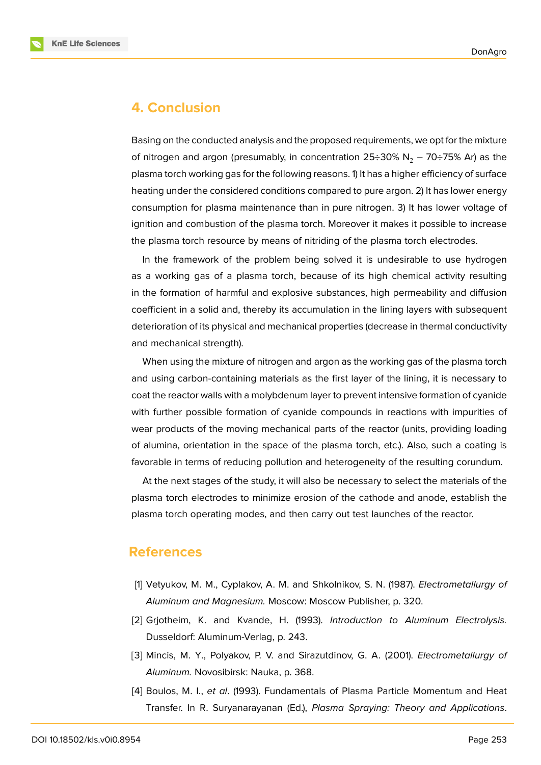

### **4. Conclusion**

Basing on the conducted analysis and the proposed requirements, we opt for the mixture of nitrogen and argon (presumably, in concentration  $25\div 30\%$  N<sub>2</sub> – 70 $\div 75\%$  Ar) as the plasma torch working gas for the following reasons. 1) It has a higher efficiency of surface heating under the considered conditions compared to pure argon. 2) It has lower energy consumption for plasma maintenance than in pure nitrogen. 3) It has lower voltage of ignition and combustion of the plasma torch. Moreover it makes it possible to increase the plasma torch resource by means of nitriding of the plasma torch electrodes.

In the framework of the problem being solved it is undesirable to use hydrogen as a working gas of a plasma torch, because of its high chemical activity resulting in the formation of harmful and explosive substances, high permeability and diffusion coefficient in a solid and, thereby its accumulation in the lining layers with subsequent deterioration of its physical and mechanical properties (decrease in thermal conductivity and mechanical strength).

When using the mixture of nitrogen and argon as the working gas of the plasma torch and using carbon-containing materials as the first layer of the lining, it is necessary to coat the reactor walls with a molybdenum layer to prevent intensive formation of cyanide with further possible formation of cyanide compounds in reactions with impurities of wear products of the moving mechanical parts of the reactor (units, providing loading of alumina, orientation in the space of the plasma torch, etc.). Also, such a coating is favorable in terms of reducing pollution and heterogeneity of the resulting corundum.

At the next stages of the study, it will also be necessary to select the materials of the plasma torch electrodes to minimize erosion of the cathode and anode, establish the plasma torch operating modes, and then carry out test launches of the reactor.

### **References**

- [1] Vetyukov, M. M., Cyplakov, A. M. and Shkolnikov, S. N. (1987). *Electrometallurgy of Aluminum and Magnesium.* Moscow: Moscow Publisher, p. 320.
- [2] Grjotheim, K. and Kvande, H. (1993). *Introduction to Aluminum Electrolysis.* Dusseldorf: Aluminum-Verlag, p. 243.
- [3] Mincis, M. Y., Polyakov, P. V. and Sirazutdinov, G. A. (2001). *Electrometallurgy of Aluminum.* Novosibirsk: Nauka, p. 368.
- <span id="page-6-0"></span>[4] Boulos, M. I., *et al*. (1993). Fundamentals of Plasma Particle Momentum and Heat Transfer. In R. Suryanarayanan (Ed.), *Plasma Spraying: Theory and Applications*.